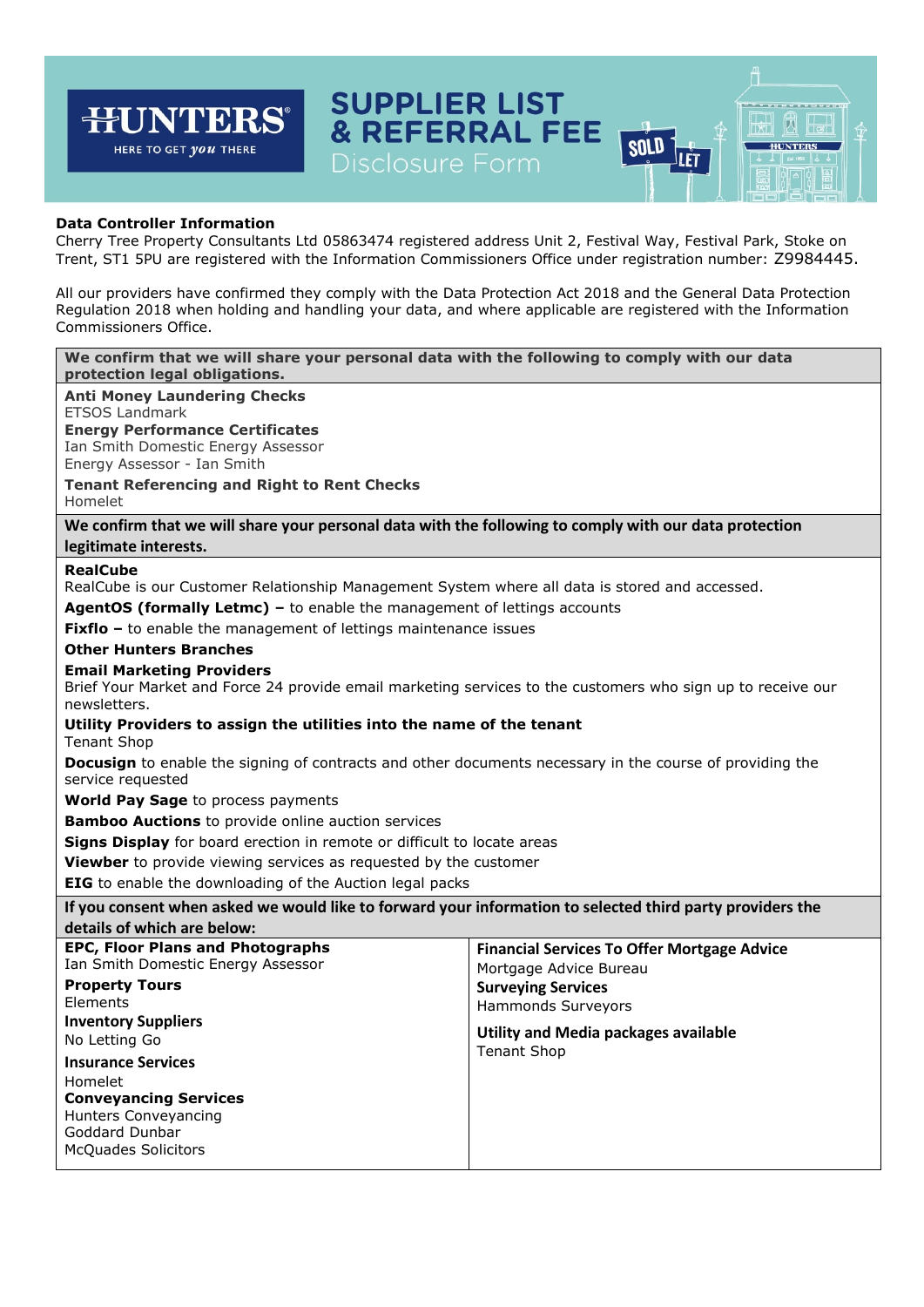# **SUPPLIER LIST** न्म **JNTERS & REFERRAL FEE** 闶 **SOLD HUNTERS** HERE TO GET *you* THERE JLET Disclosure Form **Data Controller Information** Cherry Tree Property Consultants Ltd 05863474 registered address Unit 2, Festival Way, Festival Park, Stoke on Trent, ST1 5PU are registered with the Information Commissioners Office under registration number: Z9984445. All our providers have confirmed they comply with the Data Protection Act 2018 and the General Data Protection Regulation 2018 when holding and handling your data, and where applicable are registered with the Information Commissioners Office. **We confirm that we will share your personal data with the following to comply with our data protection legal obligations. Anti Money Laundering Checks** ETSOS Landmark **Energy Performance Certificates** Ian Smith Domestic Energy Assessor Energy Assessor - Ian Smith **Tenant Referencing and Right to Rent Checks** Homelet **We confirm that we will share your personal data with the following to comply with our data protection legitimate interests. RealCube** RealCube is our Customer Relationship Management System where all data is stored and accessed. **AgentOS (formally Letmc) –** to enable the management of lettings accounts **Fixflo** – to enable the management of lettings maintenance issues **Other Hunters Branches Email Marketing Providers** Brief Your Market and Force 24 provide email marketing services to the customers who sign up to receive our newsletters. **Utility Providers to assign the utilities into the name of the tenant** Tenant Shop **Docusign** to enable the signing of contracts and other documents necessary in the course of providing the service requested **World Pay Sage** to process payments **Bamboo Auctions** to provide online auction services **Signs Display** for board erection in remote or difficult to locate areas **Viewber** to provide viewing services as requested by the customer **EIG** to enable the downloading of the Auction legal packs **If you consent when asked we would like to forward your information to selected third party providers the details of which are below: EPC, Floor Plans and Photographs Financial Services To Offer Mortgage Advice** Ian Smith Domestic Energy Assessor Mortgage Advice Bureau **Property Tours Surveying Services**

Elements **Inventory Suppliers**  No Letting Go

**Insurance Services** Homelet **Conveyancing Services** Hunters Conveyancing Goddard Dunbar McQuades Solicitors

Hammonds Surveyors **Utility and Media packages available** 

Tenant Shop